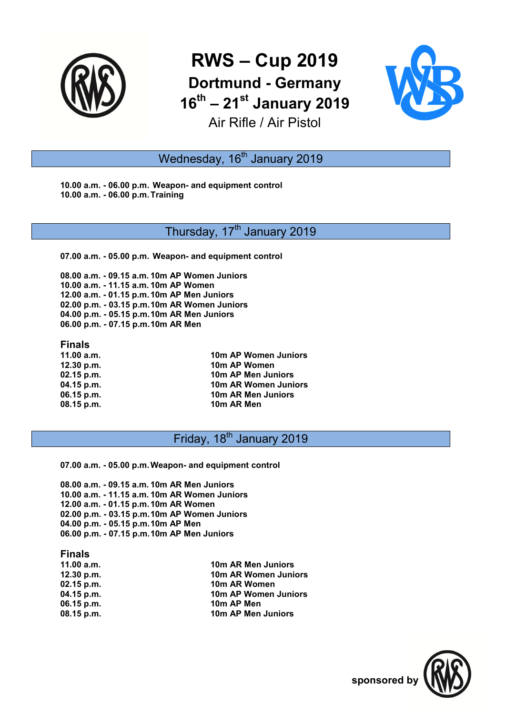

# **RWS – Cup 2019 Dortmund - Germany 16th – 21st January 2019** Air Rifle / Air Pistol



# Wednesday, 16<sup>th</sup> January 2019

**10.00 a.m. - 06.00 p.m. Weapon- and equipment control 10.00 a.m. - 06.00 p.m. Training** 

### Thursday, 17<sup>th</sup> January 2019

**07.00 a.m. - 05.00 p.m. Weapon- and equipment control** 

**08.00 a.m. - 09.15 a.m. 10m AP Women Juniors 10.00 a.m. - 11.15 a.m. 10m AP Women 12.00 a.m. - 01.15 p.m. 10m AP Men Juniors 02.00 p.m. - 03.15 p.m. 10m AR Women Juniors 04.00 p.m. - 05.15 p.m. 10m AR Men Juniors 06.00 p.m. - 07.15 p.m. 10m AR Men** 

#### **Finals**

**11.00 a.m. 10m AP Women Juniors 12.30 p.m. 10m AP Women 02.15 p.m. 10m AP Men Juniors 04.15 p.m. 10m AR Women Juniors 06.15 p.m. 10m AR Men Juniors 08.15 p.m.** 10m AR Men

# Friday, 18<sup>th</sup> January 2019

**07.00 a.m. - 05.00 p.m. Weapon- and equipment control** 

**08.00 a.m. - 09.15 a.m. 10m AR Men Juniors 10.00 a.m. - 11.15 a.m. 10m AR Women Juniors 12.00 a.m. - 01.15 p.m. 10m AR Women 02.00 p.m. - 03.15 p.m. 10m AP Women Juniors 04.00 p.m. - 05.15 p.m. 10m AP Men 06.00 p.m. - 07.15 p.m. 10m AP Men Juniors** 

#### **Finals**

| 11.00 a.m.   | 10m AR Men Juniors   |
|--------------|----------------------|
| 12.30 p.m.   | 10m AR Women Juniors |
| $02.15$ p.m. | 10m AR Women         |
| $04.15$ p.m. | 10m AP Women Juniors |
| $06.15$ p.m. | 10m AP Men           |
| 08.15 p.m.   | 10m AP Men Juniors   |